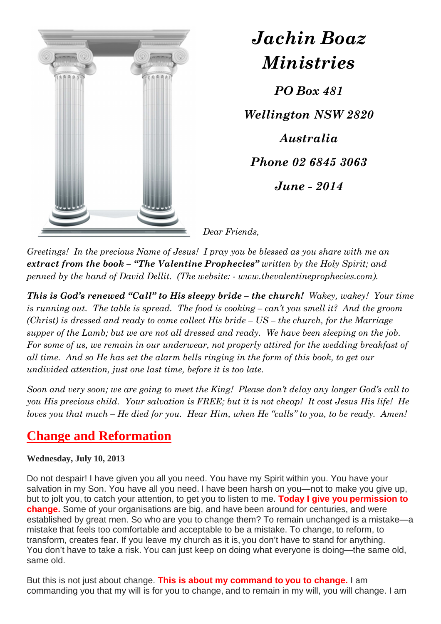

*Jachin Boaz Ministries PO Box 481 Wellington NSW 2820 Australia Phone 02 6845 3063 June - 2014* 

*Dear Friends,* 

*Greetings! In the precious Name of Jesus! I pray you be blessed as you share with me an extract from the book – "The Valentine Prophecies" written by the Holy Spirit; and penned by the hand of David Dellit. (The website: - www.thevalentineprophecies.com).* 

*This is God's renewed "Call" to His sleepy bride – the church! Wakey, wakey! Your time is running out. The table is spread. The food is cooking – can't you smell it? And the groom (Christ) is dressed and ready to come collect His bride – US – the church, for the Marriage supper of the Lamb; but we are not all dressed and ready. We have been sleeping on the job. For some of us, we remain in our underwear, not properly attired for the wedding breakfast of all time. And so He has set the alarm bells ringing in the form of this book, to get our undivided attention, just one last time, before it is too late.* 

*Soon and very soon; we are going to meet the King! Please don't delay any longer God's call to you His precious child. Your salvation is FREE; but it is not cheap! It cost Jesus His life! He loves you that much – He died for you. Hear Him, when He "calls" to you, to be ready. Amen!* 

## **Change and Reformation**

## **Wednesday, July 10, 2013**

Do not despair! I have given you all you need. You have my Spirit within you. You have your salvation in my Son. You have all you need. I have been harsh on you—not to make you give up, but to jolt you, to catch your attention, to get you to listen to me. **Today I give you permission to change.** Some of your organisations are big, and have been around for centuries, and were established by great men. So who are you to change them? To remain unchanged is a mistake—a mistake that feels too comfortable and acceptable to be a mistake. To change, to reform, to transform, creates fear. If you leave my church as it is, you don't have to stand for anything. You don't have to take a risk. You can just keep on doing what everyone is doing—the same old, same old.

But this is not just about change. **This is about my command to you to change.** I am commanding you that my will is for you to change, and to remain in my will, you will change. I am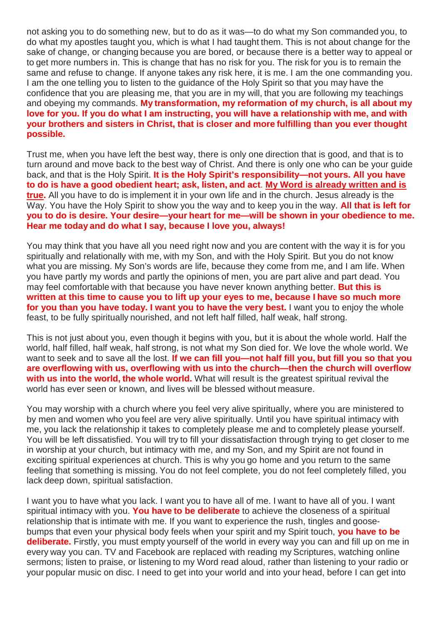not asking you to do something new, but to do as it was—to do what my Son commanded you, to do what my apostles taught you, which is what I had taught them. This is not about change for the sake of change, or changing because you are bored, or because there is a better way to appeal or to get more numbers in. This is change that has no risk for you. The risk for you is to remain the same and refuse to change. If anyone takes any risk here, it is me. I am the one commanding you. I am the one telling you to listen to the guidance of the Holy Spirit so that you may have the confidence that you are pleasing me, that you are in my will, that you are following my teachings and obeying my commands. **My transformation, my reformation of my church, is all about my love for you. If you do what I am instructing, you will have a relationship with me, and with your brothers and sisters in Christ, that is closer and more fulfilling than you ever thought possible.**

Trust me, when you have left the best way, there is only one direction that is good, and that is to turn around and move back to the best way of Christ. And there is only one who can be your guide back, and that is the Holy Spirit. **It is the Holy Spirit's responsibility—not yours. All you have to do is have a good obedient heart; ask, listen, and act**. **My Word is already written and is true.** All you have to do is implement it in your own life and in the church. Jesus already is the Way. You have the Holy Spirit to show you the way and to keep you in the way. **All that is left for you to do is desire. Your desire—your heart for me—will be shown in your obedience to me. Hear me today and do what I say, because I love you, always!**

You may think that you have all you need right now and you are content with the way it is for you spiritually and relationally with me, with my Son, and with the Holy Spirit. But you do not know what you are missing. My Son's words are life, because they come from me, and I am life. When you have partly my words and partly the opinions of men, you are part alive and part dead. You may feel comfortable with that because you have never known anything better. **But this is written at this time to cause you to lift up your eyes to me, because I have so much more for you than you have today. I want you to have the very best.** I want you to enjoy the whole feast, to be fully spiritually nourished, and not left half filled, half weak, half strong.

This is not just about you, even though it begins with you, but it is about the whole world. Half the world, half filled, half weak, half strong, is not what my Son died for. We love the whole world. We want to seek and to save all the lost. **If we can fill you—not half fill you, but fill you so that you are overflowing with us, overflowing with us into the church—then the church will overflow with us into the world, the whole world.** What will result is the greatest spiritual revival the world has ever seen or known, and lives will be blessed without measure.

You may worship with a church where you feel very alive spiritually, where you are ministered to by men and women who you feel are very alive spiritually. Until you have spiritual intimacy with me, you lack the relationship it takes to completely please me and to completely please yourself. You will be left dissatisfied. You will try to fill your dissatisfaction through trying to get closer to me in worship at your church, but intimacy with me, and my Son, and my Spirit are not found in exciting spiritual experiences at church. This is why you go home and you return to the same feeling that something is missing. You do not feel complete, you do not feel completely filled, you lack deep down, spiritual satisfaction.

I want you to have what you lack. I want you to have all of me. I want to have all of you. I want spiritual intimacy with you. **You have to be deliberate** to achieve the closeness of a spiritual relationship that is intimate with me. If you want to experience the rush, tingles and goosebumps that even your physical body feels when your spirit and my Spirit touch, **you have to be deliberate.** Firstly, you must empty yourself of the world in every way you can and fill up on me in every way you can. TV and Facebook are replaced with reading my Scriptures, watching online sermons; listen to praise, or listening to my Word read aloud, rather than listening to your radio or your popular music on disc. I need to get into your world and into your head, before I can get into